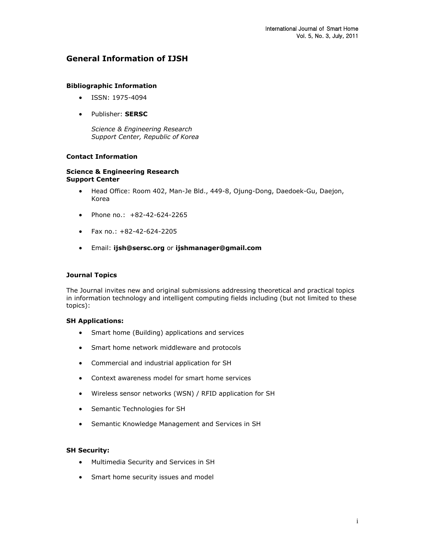# **General Information of IJSH**

## **Bibliographic Information**

- ISSN: 1975-4094
- Publisher: **SERSC**

*Science & Engineering Research Support Center, Republic of Korea*

# **Contact Information**

## **Science & Engineering Research Support Center**

- Head Office: Room 402, Man-Je Bld., 449-8, Ojung-Dong, Daedoek-Gu, Daejon, Korea
- Phone no.:  $+82-42-624-2265$
- $\bullet$  Fax no.: +82-42-624-2205
- Email: **[ijsh@sersc.org](mailto:ijsh@sersc.org)** or **[ijshmanager@gmail.com](mailto:ijshmanager@gmail.com)**

### **Journal Topics**

The Journal invites new and original submissions addressing theoretical and practical topics in information technology and intelligent computing fields including (but not limited to these topics):

#### **SH Applications:**

- Smart home (Building) applications and services
- Smart home network middleware and protocols
- Commercial and industrial application for SH
- Context awareness model for smart home services
- Wireless sensor networks (WSN) / RFID application for SH
- Semantic Technologies for SH
- Semantic Knowledge Management and Services in SH

#### **SH Security:**

- Multimedia Security and Services in SH
- Smart home security issues and model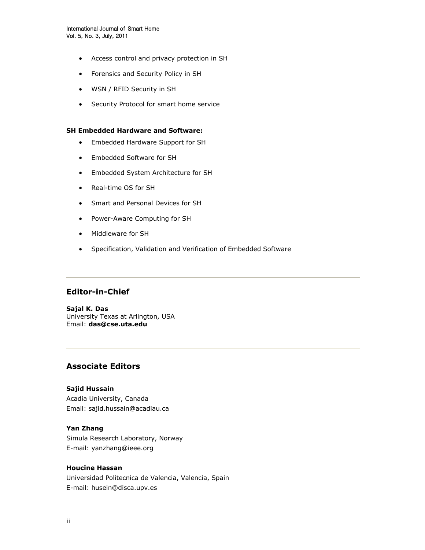- Access control and privacy protection in SH
- Forensics and Security Policy in SH
- WSN / RFID Security in SH
- Security Protocol for smart home service

### **SH Embedded Hardware and Software:**

- Embedded Hardware Support for SH
- Embedded Software for SH
- Embedded System Architecture for SH
- Real-time OS for SH
- Smart and Personal Devices for SH
- Power-Aware Computing for SH
- Middleware for SH
- Specification, Validation and Verification of Embedded Software

# **Editor-in-Chief**

**Sajal K. Das** University Texas at Arlington, USA Email: **[das@cse.uta.edu](mailto:das@cse.uta.edu)**

# **Associate Editors**

### **Sajid Hussain**

Acadia University, Canada Email: sajid.hussain@acadiau.ca

## **Yan Zhang**

Simula Research Laboratory, Norway E-mail: yanzhang@ieee.org

# **Houcine Hassan**

Universidad Politecnica de Valencia, Valencia, Spain E-mail: husein@disca.upv.es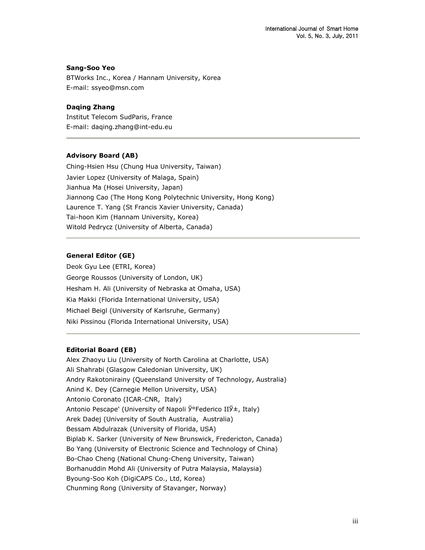## **Sang-Soo Yeo**

BTWorks Inc., Korea / Hannam University, Korea E-mail: ssyeo@msn.com

### **Daqing Zhang**

Institut Telecom SudParis, France E-mail: daqing.zhang@int-edu.eu

#### **Advisory Board (AB)**

Ching-Hsien Hsu (Chung Hua University, Taiwan) Javier Lopez (University of Malaga, Spain) Jianhua Ma (Hosei University, Japan) Jiannong Cao (The Hong Kong Polytechnic University, Hong Kong) Laurence T. Yang (St Francis Xavier University, Canada) Tai-hoon Kim (Hannam University, Korea) Witold Pedrycz (University of Alberta, Canada)

# **General Editor (GE)**

Deok Gyu Lee (ETRI, Korea) George Roussos (University of London, UK) Hesham H. Ali (University of Nebraska at Omaha, USA) Kia Makki (Florida International University, USA) Michael Beigl (University of Karlsruhe, Germany) Niki Pissinou (Florida International University, USA)

### **Editorial Board (EB)**

Alex Zhaoyu Liu (University of North Carolina at Charlotte, USA) Ali Shahrabi (Glasgow Caledonian University, UK) Andry Rakotonirainy (Queensland University of Technology, Australia) Anind K. Dey (Carnegie Mellon University, USA) Antonio Coronato (ICAR-CNR, Italy) Antonio Pescape' (University of Napoli Ў°Federico IIЎ±, Italy) Arek Dadej (University of South Australia, Australia) Bessam Abdulrazak (University of Florida, USA) Biplab K. Sarker (University of New Brunswick, Fredericton, Canada) Bo Yang (University of Electronic Science and Technology of China) Bo-Chao Cheng (National Chung-Cheng University, Taiwan) Borhanuddin Mohd Ali (University of Putra Malaysia, Malaysia) Byoung-Soo Koh (DigiCAPS Co., Ltd, Korea) Chunming Rong (University of Stavanger, Norway)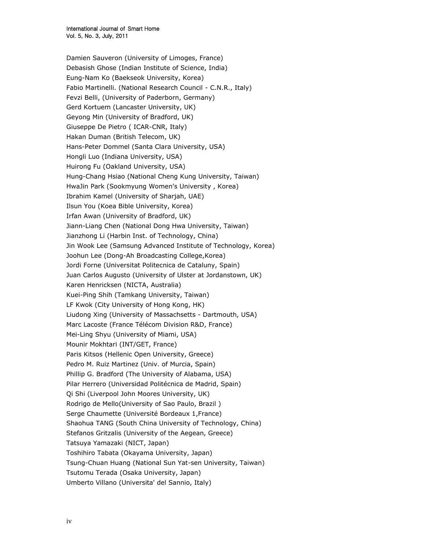Damien Sauveron (University of Limoges, France) Debasish Ghose (Indian Institute of Science, India) Eung-Nam Ko (Baekseok University, Korea) Fabio Martinelli. (National Research Council - C.N.R., Italy) Fevzi Belli, (University of Paderborn, Germany) Gerd Kortuem (Lancaster University, UK) Geyong Min (University of Bradford, UK) Giuseppe De Pietro ( ICAR-CNR, Italy) Hakan Duman (British Telecom, UK) Hans-Peter Dommel (Santa Clara University, USA) Hongli Luo (Indiana University, USA) Huirong Fu (Oakland University, USA) Hung-Chang Hsiao (National Cheng Kung University, Taiwan) HwaJin Park (Sookmyung Women's University , Korea) Ibrahim Kamel (University of Sharjah, UAE) Ilsun You (Koea Bible University, Korea) Irfan Awan (University of Bradford, UK) Jiann-Liang Chen (National Dong Hwa University, Taiwan) Jianzhong Li (Harbin Inst. of Technology, China) Jin Wook Lee (Samsung Advanced Institute of Technology, Korea) Joohun Lee (Dong-Ah Broadcasting College,Korea) Jordi Forne (Universitat Politecnica de Cataluny, Spain) Juan Carlos Augusto (University of Ulster at Jordanstown, UK) Karen Henricksen (NICTA, Australia) Kuei-Ping Shih (Tamkang University, Taiwan) LF Kwok (City University of Hong Kong, HK) Liudong Xing (University of Massachsetts - Dartmouth, USA) Marc Lacoste (France Télécom Division R&D, France) Mei-Ling Shyu (University of Miami, USA) Mounir Mokhtari (INT/GET, France) Paris Kitsos (Hellenic Open University, Greece) Pedro M. Ruiz Martinez (Univ. of Murcia, Spain) Phillip G. Bradford (The University of Alabama, USA) Pilar Herrero (Universidad Politécnica de Madrid, Spain) Qi Shi (Liverpool John Moores University, UK) Rodrigo de Mello(University of Sao Paulo, Brazil ) Serge Chaumette (Université Bordeaux 1,France) Shaohua TANG (South China University of Technology, China) Stefanos Gritzalis (University of the Aegean, Greece) Tatsuya Yamazaki (NICT, Japan) Toshihiro Tabata (Okayama University, Japan) Tsung-Chuan Huang (National Sun Yat-sen University, Taiwan) Tsutomu Terada (Osaka University, Japan) Umberto Villano (Universita' del Sannio, Italy)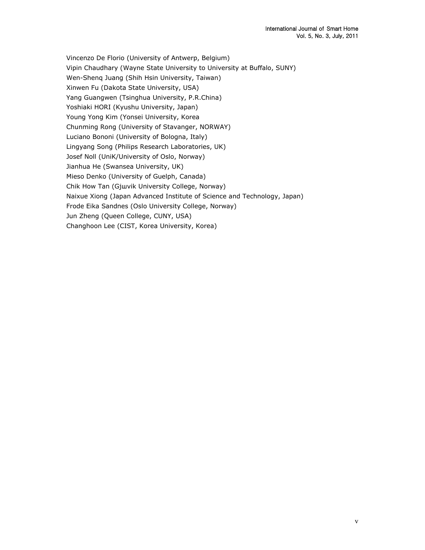Vincenzo De Florio (University of Antwerp, Belgium) Vipin Chaudhary (Wayne State University to University at Buffalo, SUNY) Wen-Shenq Juang (Shih Hsin University, Taiwan) Xinwen Fu (Dakota State University, USA) Yang Guangwen (Tsinghua University, P.R.China) Yoshiaki HORI (Kyushu University, Japan) Young Yong Kim (Yonsei University, Korea Chunming Rong (University of Stavanger, NORWAY) Luciano Bononi (University of Bologna, Italy) Lingyang Song (Philips Research Laboratories, UK) Josef Noll (UniK/University of Oslo, Norway) Jianhua He (Swansea University, UK) Mieso Denko (University of Guelph, Canada) Chik How Tan (Gjшvik University College, Norway) Naixue Xiong (Japan Advanced Institute of Science and Technology, Japan) Frode Eika Sandnes (Oslo University College, Norway) Jun Zheng (Queen College, CUNY, USA) Changhoon Lee (CIST, Korea University, Korea)